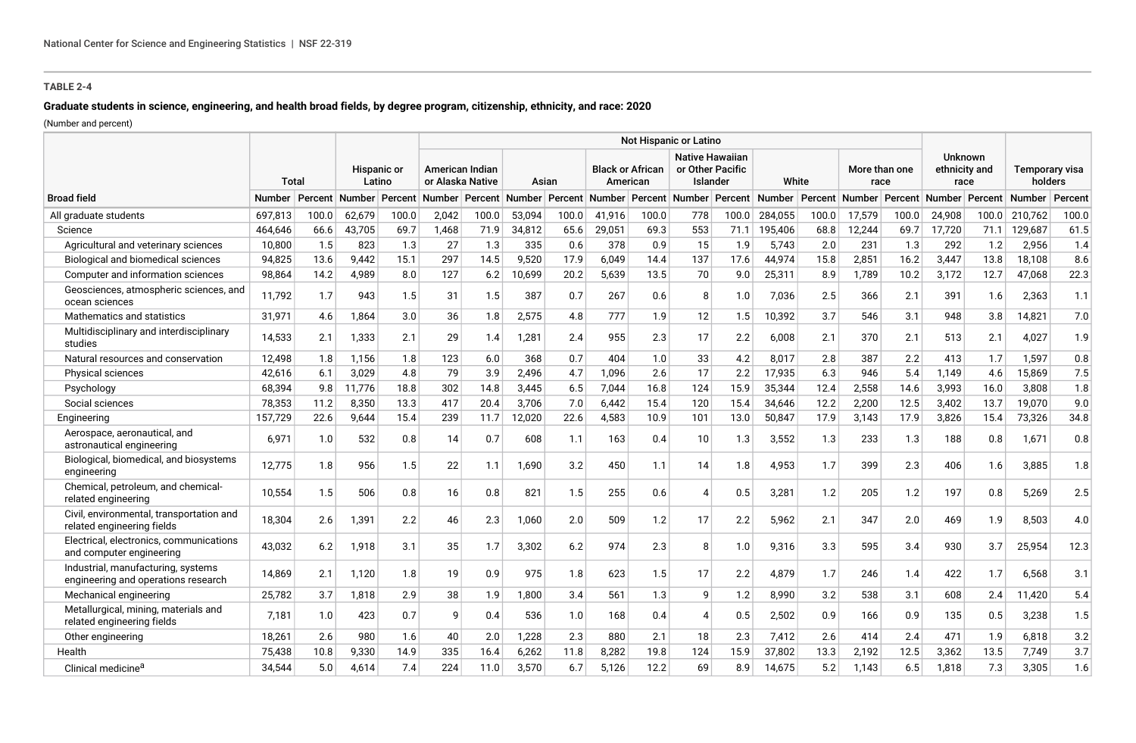# **Graduate students in science, engineering, and health broad fields, by degree program, citizenship, ethnicity, and race: 2020**

(Number and percent)

|                                                                           |              | Not Hispanic or Latino |                              |                |                                     |         |        |       |                                     |       |                                                        |         |         |       |                       |         |                                         |         |                           |         |
|---------------------------------------------------------------------------|--------------|------------------------|------------------------------|----------------|-------------------------------------|---------|--------|-------|-------------------------------------|-------|--------------------------------------------------------|---------|---------|-------|-----------------------|---------|-----------------------------------------|---------|---------------------------|---------|
|                                                                           | <b>Total</b> |                        | <b>Hispanic or</b><br>Latino |                | American Indian<br>or Alaska Native |         | Asian  |       | <b>Black or African</b><br>American |       | <b>Native Hawaiian</b><br>or Other Pacific<br>Islander |         | White   |       | More than one<br>race |         | <b>Unknown</b><br>ethnicity and<br>race |         | Temporary visa<br>holders |         |
| <b>Broad field</b>                                                        | Number       | Percent                |                              | Number Percent | Number                              | Percent | Number |       | Percent Number                      |       | Percent Number                                         | Percent | Number  |       | Percent Number        | Percent | <b>Number</b>                           | Percent | Number                    | Percent |
| All graduate students                                                     | 697,813      | 100.0                  | 62,679                       | 100.0          | 2,042                               | 100.0   | 53,094 | 100.0 | 41,916                              | 100.0 | 778                                                    | 100.0   | 284,055 | 100.0 | 17,579                | 100.0   | 24,908                                  | 100.0   | 210,762                   | 100.0   |
| Science                                                                   | 464,646      | 66.6                   | 43,705                       | 69.7           | 1,468                               | 71.9    | 34,812 | 65.6  | 29,051                              | 69.3  | 553                                                    | 71.1    | 195,406 | 68.8  | 12,244                | 69.7    | 17,720                                  | 71.1    | 129,687                   | 61.5    |
| Agricultural and veterinary sciences                                      | 10,800       | 1.5                    | 823                          | 1.3            | 27                                  | 1.3     | 335    | 0.6   | 378                                 | 0.9   | 15                                                     | 1.9     | 5,743   | 2.0   | 231                   | 1.3     | 292                                     | 1.2     | 2,956                     | 1.4     |
| Biological and biomedical sciences                                        | 94,825       | 13.6                   | 9,442                        | 15.1           | 297                                 | 14.5    | 9,520  | 17.9  | 6,049                               | 14.4  | 137                                                    | 17.6    | 44,974  | 15.8  | 2,851                 | 16.2    | 3,447                                   | 13.8    | 18,108                    | 8.6     |
| Computer and information sciences                                         | 98,864       | 14.2                   | 4,989                        | 8.0            | 127                                 | 6.2     | 10,699 | 20.2  | 5,639                               | 13.5  | 70                                                     | 9.0     | 25,311  | 8.9   | 1,789                 | 10.2    | 3,172                                   | 12.7    | 47,068                    | 22.3    |
| Geosciences, atmospheric sciences, and<br>ocean sciences                  | 11,792       | 1.7                    | 943                          | 1.5            | 31                                  | 1.5     | 387    | 0.7   | 267                                 | 0.6   | 8                                                      | 1.0     | 7,036   | 2.5   | 366                   | 2.1     | 391                                     | 1.6     | 2,363                     | 1.1     |
| Mathematics and statistics                                                | 31,971       | 4.6                    | 1,864                        | 3.0            | 36                                  | 1.8     | 2,575  | 4.8   | 777                                 | 1.9   | 12                                                     | 1.5     | 10,392  | 3.7   | 546                   | 3.1     | 948                                     | 3.8     | 14,821                    | 7.0     |
| Multidisciplinary and interdisciplinary<br>studies                        | 14,533       | 2.1                    | 1,333                        | 2.1            | 29                                  | 1.4     | 1,281  | 2.4   | 955                                 | 2.3   | 17                                                     | 2.2     | 6,008   | 2.1   | 370                   | 2.1     | 513                                     | 2.1     | 4.027                     | 1.9     |
| Natural resources and conservation                                        | 12,498       | 1.8                    | 1,156                        | 1.8            | 123                                 | 6.0     | 368    | 0.7   | 404                                 | 1.0   | 33                                                     | 4.2     | 8,017   | 2.8   | 387                   | 2.2     | 413                                     | 1.7     | 1,597                     | 0.8     |
| <b>Physical sciences</b>                                                  | 42,616       | 6.1                    | 3,029                        | 4.8            | 79                                  | 3.9     | 2,496  | 4.7   | 1,096                               | 2.6   | 17                                                     | 2.2     | 17,935  | 6.3   | 946                   | 5.4     | 1,149                                   | 4.6     | 15,869                    | 7.5     |
| Psychology                                                                | 68,394       | 9.8                    | 11,776                       | 18.8           | 302                                 | 14.8    | 3,445  | 6.5   | 7,044                               | 16.8  | 124                                                    | 15.9    | 35,344  | 12.4  | 2,558                 | 14.6    | 3,993                                   | 16.0    | 3,808                     | 1.8     |
| Social sciences                                                           | 78,353       | 11.2                   | 8,350                        | 13.3           | 417                                 | 20.4    | 3,706  | 7.0   | 6,442                               | 15.4  | 120                                                    | 15.4    | 34,646  | 12.2  | 2,200                 | 12.5    | 3,402                                   | 13.7    | 19,070                    | 9.0     |
| Engineering                                                               | 157,729      | 22.6                   | 9,644                        | 15.4           | 239                                 | 11.7    | 12,020 | 22.6  | 4,583                               | 10.9  | 101                                                    | 13.0    | 50,847  | 17.9  | 3,143                 | 17.9    | 3,826                                   | 15.4    | 73,326                    | 34.8    |
| Aerospace, aeronautical, and<br>astronautical engineering                 | 6,971        | 1.0                    | 532                          | 0.8            | 14                                  | 0.7     | 608    | 1.1   | 163                                 | 0.4   | 10                                                     | 1.3     | 3,552   | 1.3   | 233                   | 1.3     | 188                                     | 0.8     | 1,671                     | 0.8     |
| Biological, biomedical, and biosystems<br>engineering                     | 12,775       | 1.8                    | 956                          | 1.5            | 22                                  | 1.1     | 1,690  | 3.2   | 450                                 | 1.1   | 14                                                     | 1.8     | 4,953   | 1.7   | 399                   | 2.3     | 406                                     | 1.6     | 3,885                     | 1.8     |
| Chemical, petroleum, and chemical-<br>related engineering                 | 10,554       | 1.5                    | 506                          | 0.8            | 16                                  | 0.8     | 821    | 1.5   | 255                                 | 0.6   | Δ                                                      | 0.5     | 3,281   | 1.2   | 205                   | 1.2     | 197                                     | 0.8     | 5,269                     | 2.5     |
| Civil, environmental, transportation and<br>related engineering fields    | 18,304       | 2.6                    | 1,391                        | 2.2            | 46                                  | 2.3     | 1,060  | 2.0   | 509                                 | 1.2   | 17                                                     | 2.2     | 5,962   | 2.1   | 347                   | 2.0     | 469                                     | 1.9     | 8,503                     | 4.0     |
| Electrical, electronics, communications<br>and computer engineering       | 43,032       | 6.2                    | 1,918                        | 3.1            | 35                                  | 1.7     | 3,302  | 6.2   | 974                                 | 2.3   | 8                                                      | 1.0     | 9,316   | 3.3   | 595                   | 3.4     | 930                                     | 3.7     | 25,954                    | 12.3    |
| Industrial, manufacturing, systems<br>engineering and operations research | 14.869       | 2.1                    | 1,120                        | 1.8            | 19                                  | 0.9     | 975    | 1.8   | 623                                 | 1.5   | 17                                                     | 2.2     | 4,879   | 1.7   | 246                   | 1.4     | 422                                     | 1.7     | 6,568                     | 3.1     |
| Mechanical engineering                                                    | 25,782       | 3.7                    | 1,818                        | 2.9            | 38                                  | 1.9     | 1,800  | 3.4   | 561                                 | 1.3   | 9                                                      | 1.2     | 8,990   | 3.2   | 538                   | 3.1     | 608                                     | 2.4     | 11,420                    | 5.4     |
| Metallurgical, mining, materials and<br>related engineering fields        | 7,181        | 1.0                    | 423                          | 0.7            | q                                   | 0.4     | 536    | 1.0   | 168                                 | 0.4   | Δ                                                      | 0.5     | 2,502   | 0.9   | 166                   | 0.9     | 135                                     | 0.5     | 3,238                     | 1.5     |
| Other engineering                                                         | 18,261       | 2.6                    | 980                          | 1.6            | 40                                  | 2.0     | 1,228  | 2.3   | 880                                 | 2.1   | 18                                                     | 2.3     | 7,412   | 2.6   | 414                   | 2.4     | 471                                     | 1.9     | 6,818                     | $3.2\,$ |
| Health                                                                    | 75,438       | 10.8                   | 9,330                        | 14.9           | 335                                 | 16.4    | 6,262  | 11.8  | 8,282                               | 19.8  | 124                                                    | 15.9    | 37,802  | 13.3  | 2,192                 | 12.5    | 3,362                                   | 13.5    | 7,749                     | 3.7     |
| Clinical medicine <sup>a</sup>                                            | 34,544       | 5.0                    | 4,614                        | 7.4            | 224                                 | 11.0    | 3,570  | 6.7   | 5,126                               | 12.2  | 69                                                     | 8.9     | 14,675  | 5.2   | 1,143                 | 6.5     | 1,818                                   | 7.3     | 3,305                     | 1.6     |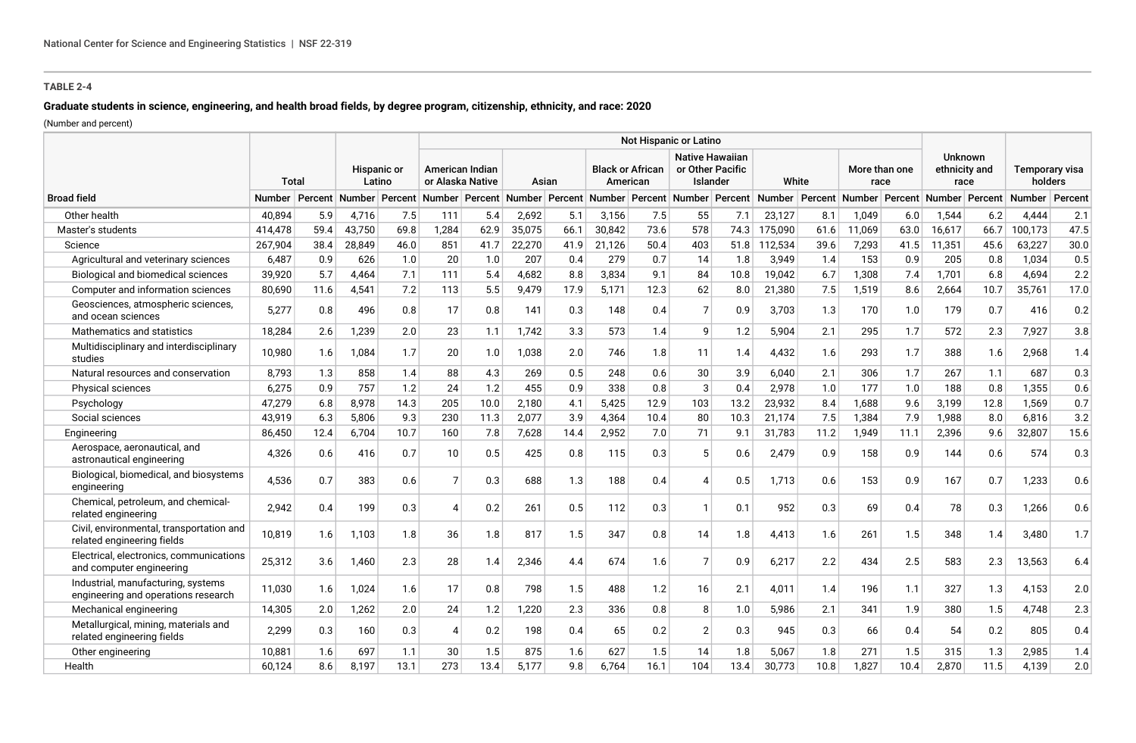# **Graduate students in science, engineering, and health broad fields, by degree program, citizenship, ethnicity, and race: 2020**

(Number and percent)

|                                                                           |         |         |                       |      |                                     |      |        |      |                                     |      | <b>Not Hispanic or Latino</b>                          |      |                                                                                   |      |                       |      |                                         |      |                           |         |
|---------------------------------------------------------------------------|---------|---------|-----------------------|------|-------------------------------------|------|--------|------|-------------------------------------|------|--------------------------------------------------------|------|-----------------------------------------------------------------------------------|------|-----------------------|------|-----------------------------------------|------|---------------------------|---------|
|                                                                           | Total   |         | Hispanic or<br>Latino |      | American Indian<br>or Alaska Native |      | Asian  |      | <b>Black or African</b><br>American |      | <b>Native Hawaiian</b><br>or Other Pacific<br>Islander |      | White                                                                             |      | More than one<br>race |      | <b>Unknown</b><br>ethnicity and<br>race |      | Temporary visa<br>holders |         |
| <b>Broad field</b>                                                        | Number  | Percent |                       |      |                                     |      |        |      |                                     |      |                                                        |      | Number Percent Number Percent Number Percent Number Percent Number Percent Number |      | Percent Number        |      | Percent Number Percent                  |      | <b>Number</b>             | Percent |
| Other health                                                              | 40.894  | 5.9     | 4,716                 | 7.5  | 111                                 | 5.4  | 2,692  | 5.1  | 3,156                               | 7.5  | 55                                                     | 7.1  | 23,127                                                                            | 8.1  | 1,049                 | 6.0  | 1,544                                   | 6.2  | 4,444                     | 2.1     |
| Master's students                                                         | 414,478 | 59.4    | 43,750                | 69.8 | 1.284                               | 62.9 | 35,075 | 66.1 | 30,842                              | 73.6 | 578                                                    | 74.3 | 175,090                                                                           | 61.6 | 11,069                | 63.0 | 16,617                                  | 66.7 | 100,173                   | 47.5    |
| Science                                                                   | 267,904 | 38.4    | 28,849                | 46.0 | 851                                 | 41.7 | 22,270 | 41.9 | 21,126                              | 50.4 | 403                                                    | 51.8 | 112,534                                                                           | 39.6 | 7,293                 | 41.5 | 11,351                                  | 45.6 | 63,227                    | 30.0    |
| Agricultural and veterinary sciences                                      | 6,487   | 0.9     | 626                   | 1.0  | 20                                  | 1.0  | 207    | 0.4  | 279                                 | 0.7  | 14                                                     | 1.8  | 3,949                                                                             | 1.4  | 153                   | 0.9  | 205                                     | 0.8  | 1,034                     | 0.5     |
| Biological and biomedical sciences                                        | 39,920  | 5.7     | 4,464                 | 7.1  | 111                                 | 5.4  | 4,682  | 8.8  | 3,834                               | 9.1  | 84                                                     | 10.8 | 19,042                                                                            | 6.7  | 1,308                 | 7.4  | 1,701                                   | 6.8  | 4,694                     | $2.2\,$ |
| Computer and information sciences                                         | 80,690  | 11.6    | 4,541                 | 7.2  | 113                                 | 5.5  | 9,479  | 17.9 | 5,171                               | 12.3 | 62                                                     | 8.0  | 21,380                                                                            | 7.5  | 1,519                 | 8.6  | 2,664                                   | 10.7 | 35,761                    | 17.0    |
| Geosciences, atmospheric sciences,<br>and ocean sciences                  | 5,277   | 0.8     | 496                   | 0.8  | 17                                  | 0.8  | 141    | 0.3  | 148                                 | 0.4  | $\overline{7}$                                         | 0.9  | 3,703                                                                             | 1.3  | 170                   | 1.0  | 179                                     | 0.7  | 416                       | 0.2     |
| Mathematics and statistics                                                | 18,284  | 2.6     | 1,239                 | 2.0  | 23                                  | 1.1  | 1.742  | 3.3  | 573                                 | 1.4  | 9                                                      | 1.2  | 5.904                                                                             | 2.1  | 295                   | 1.7  | 572                                     | 2.3  | 7.927                     | 3.8     |
| Multidisciplinary and interdisciplinary<br>studies                        | 10,980  | 1.6     | 1,084                 | 1.7  | 20                                  | 1.0  | 1,038  | 2.0  | 746                                 | 1.8  | 11                                                     | 1.4  | 4,432                                                                             | 1.6  | 293                   | 1.7  | 388                                     | 1.6  | 2,968                     | 1.4     |
| Natural resources and conservation                                        | 8.793   | 1.3     | 858                   | 1.4  | 88                                  | 4.3  | 269    | 0.5  | 248                                 | 0.6  | 30                                                     | 3.9  | 6,040                                                                             | 2.1  | 306                   | 1.7  | 267                                     | 1.1  | 687                       | 0.3     |
| <b>Physical sciences</b>                                                  | 6,275   | 0.9     | 757                   | 1.2  | 24                                  | 1.2  | 455    | 0.9  | 338                                 | 0.8  | 3                                                      | 0.4  | 2,978                                                                             | 1.0  | 177                   | 1.0  | 188                                     | 0.8  | 1,355                     | 0.6     |
| Psychology                                                                | 47,279  | 6.8     | 8.978                 | 14.3 | 205                                 | 10.0 | 2,180  | 4.1  | 5,425                               | 12.9 | 103                                                    | 13.2 | 23,932                                                                            | 8.4  | 1,688                 | 9.6  | 3,199                                   | 12.8 | 1,569                     | 0.7     |
| Social sciences                                                           | 43,919  | 6.3     | 5,806                 | 9.3  | 230                                 | 11.3 | 2,077  | 3.9  | 4,364                               | 10.4 | 80                                                     | 10.3 | 21,174                                                                            | 7.5  | 1,384                 | 7.9  | 1,988                                   | 8.0  | 6,816                     | 3.2     |
| Engineering                                                               | 86,450  | 12.4    | 6,704                 | 10.7 | 160                                 | 7.8  | 7,628  | 14.4 | 2,952                               | 7.0  | 71                                                     | 9.1  | 31,783                                                                            | 11.2 | 1,949                 | 11.1 | 2,396                                   | 9.6  | 32,807                    | 15.6    |
| Aerospace, aeronautical, and<br>astronautical engineering                 | 4,326   | 0.6     | 416                   | 0.7  | 10                                  | 0.5  | 425    | 0.8  | 115                                 | 0.3  | 5                                                      | 0.6  | 2,479                                                                             | 0.9  | 158                   | 0.9  | 144                                     | 0.6  | 574                       | 0.3     |
| Biological, biomedical, and biosystems<br>engineering                     | 4.536   | 0.7     | 383                   | 0.6  | $\overline{7}$                      | 0.3  | 688    | 1.3  | 188                                 | 0.4  | Δ                                                      | 0.5  | 1,713                                                                             | 0.6  | 153                   | 0.9  | 167                                     | 0.7  | 1,233                     | 0.6     |
| Chemical, petroleum, and chemical-<br>related engineering                 | 2,942   | 0.4     | 199                   | 0.3  | 4                                   | 0.2  | 261    | 0.5  | 112                                 | 0.3  | $\mathbf{1}$                                           | 0.1  | 952                                                                               | 0.3  | 69                    | 0.4  | 78                                      | 0.3  | 1,266                     | 0.6     |
| Civil, environmental, transportation and<br>related engineering fields    | 10,819  | 1.6     | 1,103                 | 1.8  | 36                                  | 1.8  | 817    | 1.5  | 347                                 | 0.8  | 14                                                     | 1.8  | 4,413                                                                             | 1.6  | 261                   | 1.5  | 348                                     | 1.4  | 3,480                     | 1.7     |
| Electrical, electronics, communications<br>and computer engineering       | 25,312  | 3.6     | 1,460                 | 2.3  | 28                                  | 1.4  | 2,346  | 4.4  | 674                                 | 1.6  | 7                                                      | 0.9  | 6,217                                                                             | 2.2  | 434                   | 2.5  | 583                                     | 2.3  | 13,563                    | 6.4     |
| Industrial, manufacturing, systems<br>engineering and operations research | 11,030  | 1.6     | 1,024                 | 1.6  | 17                                  | 0.8  | 798    | 1.5  | 488                                 | 1.2  | 16                                                     | 2.1  | 4,011                                                                             | 1.4  | 196                   | 1.1  | 327                                     | 1.3  | 4,153                     | 2.0     |
| Mechanical engineering                                                    | 14,305  | 2.0     | 1,262                 | 2.0  | 24                                  | 1.2  | 1,220  | 2.3  | 336                                 | 0.8  | 8                                                      | 1.0  | 5,986                                                                             | 2.1  | 341                   | 1.9  | 380                                     | 1.5  | 4,748                     | 2.3     |
| Metallurgical, mining, materials and<br>related engineering fields        | 2,299   | 0.3     | 160                   | 0.3  | $\overline{4}$                      | 0.2  | 198    | 0.4  | 65                                  | 0.2  | $\overline{2}$                                         | 0.3  | 945                                                                               | 0.3  | 66                    | 0.4  | 54                                      | 0.2  | 805                       | 0.4     |
| Other engineering                                                         | 10,881  | 1.6     | 697                   | 1.1  | 30                                  | 1.5  | 875    | 1.6  | 627                                 | 1.5  | 14                                                     | 1.8  | 5,067                                                                             | 1.8  | 271                   | 1.5  | 315                                     | 1.3  | 2,985                     | 1.4     |
| Health                                                                    | 60,124  | 8.6     | 8,197                 | 13.1 | 273                                 | 13.4 | 5,177  | 9.8  | 6,764                               | 16.1 | 104                                                    | 13.4 | 30,773                                                                            | 10.8 | 1,827                 | 10.4 | 2,870                                   | 11.5 | 4,139                     | 2.0     |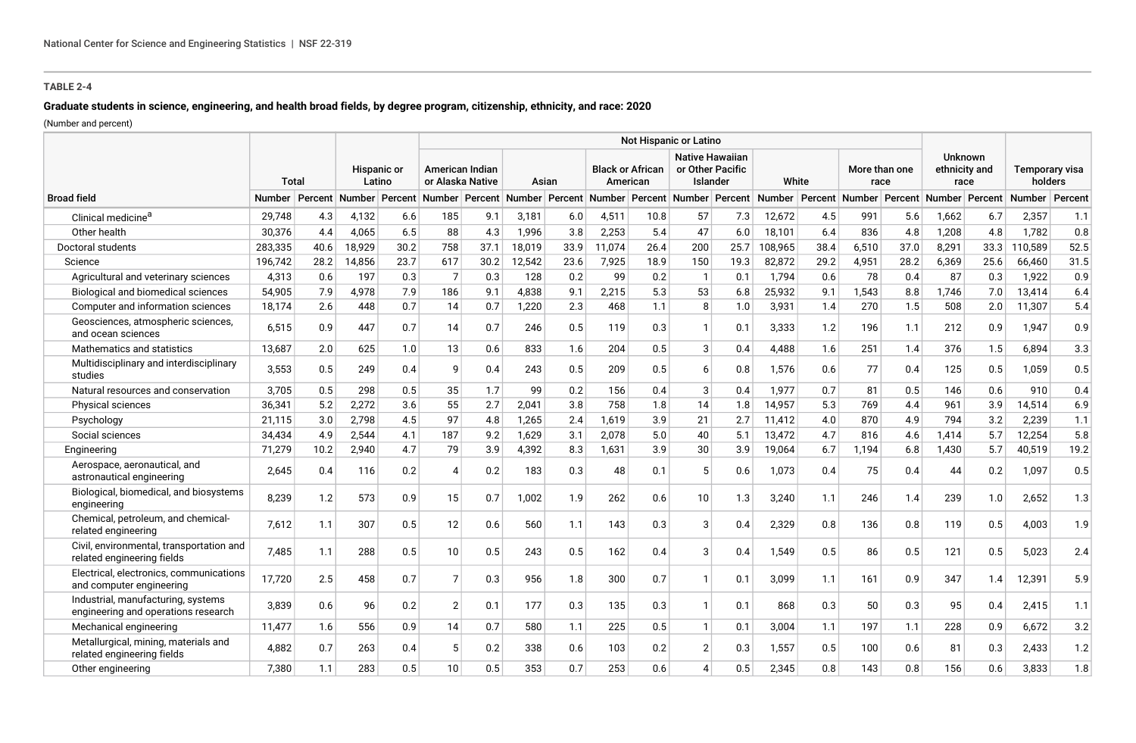# **Graduate students in science, engineering, and health broad fields, by degree program, citizenship, ethnicity, and race: 2020**

(Number and percent)

|                                                                           |         |         |                              |      | Not Hispanic or Latino              |      |                                                     |      |                                     |      |                                                        |      |         |      |                       |      |                                         |      |                           |         |
|---------------------------------------------------------------------------|---------|---------|------------------------------|------|-------------------------------------|------|-----------------------------------------------------|------|-------------------------------------|------|--------------------------------------------------------|------|---------|------|-----------------------|------|-----------------------------------------|------|---------------------------|---------|
|                                                                           | Total   |         | <b>Hispanic or</b><br>Latino |      | American Indian<br>or Alaska Native |      | Asian                                               |      | <b>Black or African</b><br>American |      | <b>Native Hawaiian</b><br>or Other Pacific<br>Islander |      | White   |      | More than one<br>race |      | <b>Unknown</b><br>ethnicity and<br>race |      | Temporary visa<br>holders |         |
| <b>Broad field</b>                                                        | Number  | Percent |                              |      |                                     |      | Number Percent Number Percent Number Percent Number |      |                                     |      | Percent Number Percent Number Percent Number           |      |         |      |                       |      | Percent Number Percent Number           |      |                           | Percent |
| Clinical medicine <sup>a</sup>                                            | 29,748  | 4.3     | 4,132                        | 6.6  | 185                                 | 9.1  | 3,181                                               | 6.0  | 4,511                               | 10.8 | 57                                                     | 7.3  | 12,672  | 4.5  | 991                   | 5.6  | 1,662                                   | 6.7  | 2,357                     | 1.1     |
| Other health                                                              | 30,376  | 4.4     | 4,065                        | 6.5  | 88                                  | 4.3  | 1,996                                               | 3.8  | 2,253                               | 5.4  | 47                                                     | 6.0  | 18,101  | 6.4  | 836                   | 4.8  | 1,208                                   | 4.8  | 1,782                     | 0.8     |
| Doctoral students                                                         | 283,335 | 40.6    | 18,929                       | 30.2 | 758                                 | 37.1 | 18,019                                              | 33.9 | 11,074                              | 26.4 | 200                                                    | 25.7 | 108,965 | 38.4 | 6,510                 | 37.0 | 8,291                                   | 33.3 | 10,589                    | 52.5    |
| Science                                                                   | 196,742 | 28.2    | 14,856                       | 23.7 | 617                                 | 30.2 | 12,542                                              | 23.6 | 7,925                               | 18.9 | 150                                                    | 19.3 | 82,872  | 29.2 | 4,951                 | 28.2 | 6,369                                   | 25.6 | 66,460                    | 31.5    |
| Agricultural and veterinary sciences                                      | 4,313   | 0.6     | 197                          | 0.3  | $\overline{7}$                      | 0.3  | 128                                                 | 0.2  | 99                                  | 0.2  | $\overline{1}$                                         | 0.1  | 1,794   | 0.6  | 78                    | 0.4  | 87                                      | 0.3  | 1,922                     | 0.9     |
| Biological and biomedical sciences                                        | 54,905  | 7.9     | 4,978                        | 7.9  | 186                                 | 9.1  | 4,838                                               | 9.1  | 2,215                               | 5.3  | 53                                                     | 6.8  | 25,932  | 9.1  | 1,543                 | 8.8  | 1,746                                   | 7.0  | 13,414                    | 6.4     |
| Computer and information sciences                                         | 18,174  | 2.6     | 448                          | 0.7  | 14                                  | 0.7  | 1,220                                               | 2.3  | 468                                 | 1.1  | 8                                                      | 1.0  | 3,931   | 1.4  | 270                   | 1.5  | 508                                     | 2.0  | 11,307                    | 5.4     |
| Geosciences, atmospheric sciences,<br>and ocean sciences                  | 6.515   | 0.9     | 447                          | 0.7  | 14                                  | 0.7  | 246                                                 | 0.5  | 119                                 | 0.3  | $\overline{1}$                                         | 0.1  | 3,333   | 1.2  | 196                   | 1.1  | 212                                     | 0.9  | 1.947                     | 0.9     |
| Mathematics and statistics                                                | 13.687  | 2.0     | 625                          | 1.0  | 13                                  | 0.6  | 833                                                 | 1.6  | 204                                 | 0.5  | 3                                                      | 0.4  | 4,488   | 1.6  | 251                   | 1.4  | 376                                     | 1.5  | 6,894                     | 3.3     |
| Multidisciplinary and interdisciplinary<br>studies                        | 3,553   | 0.5     | 249                          | 0.4  | 9                                   | 0.4  | 243                                                 | 0.5  | 209                                 | 0.5  | 6                                                      | 0.8  | 1,576   | 0.6  | 77                    | 0.4  | 125                                     | 0.5  | 1,059                     | 0.5     |
| Natural resources and conservation                                        | 3.705   | 0.5     | 298                          | 0.5  | 35 <sup>5</sup>                     | 1.7  | 99                                                  | 0.2  | 156                                 | 0.4  | 3                                                      | 0.4  | 1,977   | 0.7  | 81                    | 0.5  | 146                                     | 0.6  | 910                       | 0.4     |
| Physical sciences                                                         | 36,341  | 5.2     | 2,272                        | 3.6  | 55                                  | 2.7  | 2,041                                               | 3.8  | 758                                 | 1.8  | 14                                                     | 1.8  | 14,957  | 5.3  | 769                   | 4.4  | 961                                     | 3.9  | 14,514                    | 6.9     |
| Psychology                                                                | 21,115  | 3.0     | 2,798                        | 4.5  | 97                                  | 4.8  | 1,265                                               | 2.4  | 1,619                               | 3.9  | 21                                                     | 2.7  | 11,412  | 4.0  | 870                   | 4.9  | 794                                     | 3.2  | 2,239                     | 1.1     |
| Social sciences                                                           | 34.434  | 4.9     | 2,544                        | 4.1  | 187                                 | 9.2  | 1,629                                               | 3.1  | 2,078                               | 5.0  | 40                                                     | 5.1  | 13,472  | 4.7  | 816                   | 4.6  | 1,414                                   | 5.7  | 12,254                    | 5.8     |
| Engineering                                                               | 71,279  | 10.2    | 2,940                        | 4.7  | 79                                  | 3.9  | 4,392                                               | 8.3  | 1,631                               | 3.9  | 30                                                     | 3.9  | 19,064  | 6.7  | 1,194                 | 6.8  | 1,430                                   | 5.7  | 40,519                    | 19.2    |
| Aerospace, aeronautical, and<br>astronautical engineering                 | 2,645   | 0.4     | 116                          | 0.2  | $\boldsymbol{\varDelta}$            | 0.2  | 183                                                 | 0.3  | 48                                  | 0.1  | 5                                                      | 0.6  | 1,073   | 0.4  | 75                    | 0.4  | 44                                      | 0.2  | 1,097                     | 0.5     |
| Biological, biomedical, and biosystems<br>engineering                     | 8,239   | 1.2     | 573                          | 0.9  | 15                                  | 0.7  | 1,002                                               | 1.9  | 262                                 | 0.6  | 10                                                     | 1.3  | 3,240   | 1.1  | 246                   | 1.4  | 239                                     | 1.0  | 2,652                     | 1.3     |
| Chemical, petroleum, and chemical-<br>related engineering                 | 7.612   | 1.1     | 307                          | 0.5  | 12                                  | 0.6  | 560                                                 | 1.1  | 143                                 | 0.3  | 3                                                      | 0.4  | 2,329   | 0.8  | 136                   | 0.8  | 119                                     | 0.5  | 4,003                     | 1.9     |
| Civil, environmental, transportation and<br>related engineering fields    | 7,485   | 1.1     | 288                          | 0.5  | 10 <sup>1</sup>                     | 0.5  | 243                                                 | 0.5  | 162                                 | 0.4  | 3                                                      | 0.4  | 1,549   | 0.5  | 86                    | 0.5  | 121                                     | 0.5  | 5,023                     | 2.4     |
| Electrical, electronics, communications<br>and computer engineering       | 17.720  | 2.5     | 458                          | 0.7  | $\overline{7}$                      | 0.3  | 956                                                 | 1.8  | 300                                 | 0.7  | -1                                                     | 0.1  | 3.099   | 1.1  | 161                   | 0.9  | 347                                     | 1.4  | 12,391                    | 5.9     |
| Industrial, manufacturing, systems<br>engineering and operations research | 3,839   | 0.6     | 96                           | 0.2  | $\overline{2}$                      | 0.1  | 177                                                 | 0.3  | 135                                 | 0.3  | $\mathbf{1}$                                           | 0.1  | 868     | 0.3  | 50                    | 0.3  | 95                                      | 0.4  | 2,415                     | 1.1     |
| Mechanical engineering                                                    | 11,477  | 1.6     | 556                          | 0.9  | 14                                  | 0.7  | 580                                                 | 1.1  | 225                                 | 0.5  | $\mathbf{1}$                                           | 0.1  | 3,004   | 1.1  | 197                   | 1.1  | 228                                     | 0.9  | 6,672                     | 3.2     |
| Metallurgical, mining, materials and<br>related engineering fields        | 4.882   | 0.7     | 263                          | 0.4  | 5 <sup>5</sup>                      | 0.2  | 338                                                 | 0.6  | 103                                 | 0.2  | $\overline{2}$                                         | 0.3  | 1,557   | 0.5  | 100                   | 0.6  | 81                                      | 0.3  | 2,433                     | 1.2     |
| Other engineering                                                         | 7,380   | 1.1     | 283                          | 0.5  | 10                                  | 0.5  | 353                                                 | 0.7  | 253                                 | 0.6  | 4                                                      | 0.5  | 2,345   | 0.8  | 143                   | 0.8  | 156                                     | 0.6  | 3,833                     | 1.8     |